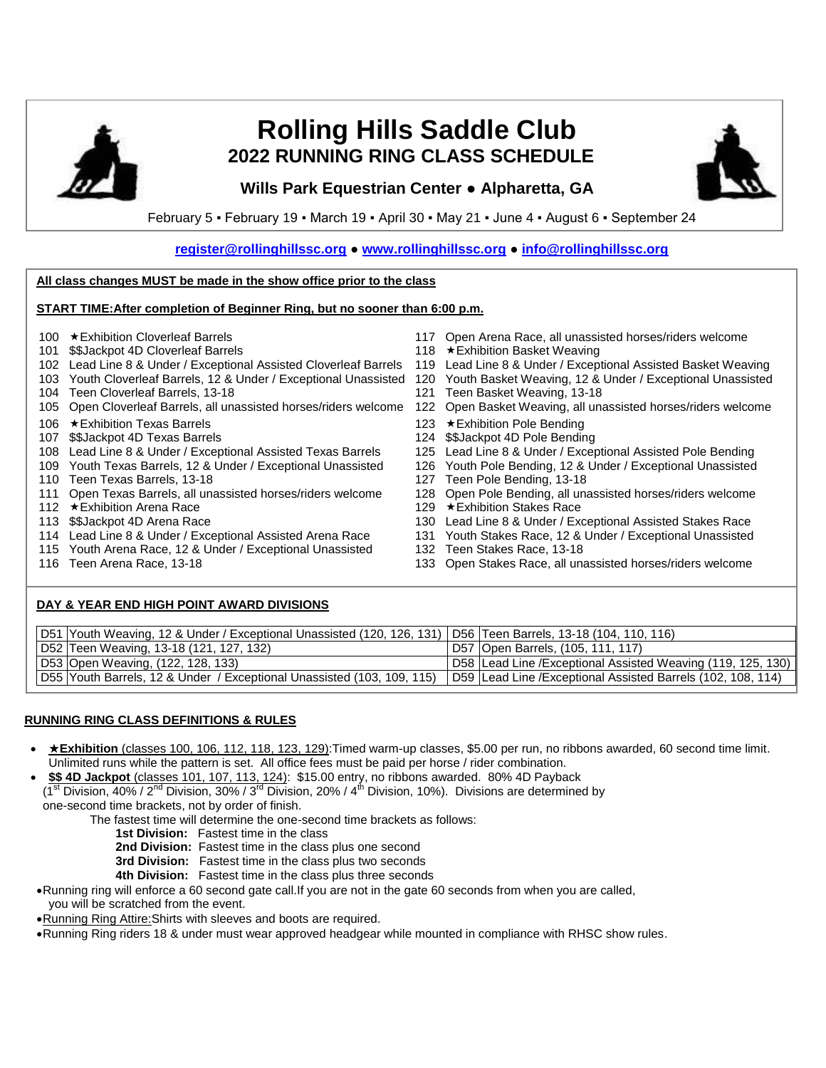

# **Rolling Hills Saddle Club 2022 RUNNING RING CLASS SCHEDULE**

## **Wills Park Equestrian Center ● Alpharetta, GA**



February 5 ▪ February 19 ▪ March 19 ▪ April 30 ▪ May 21 ▪ June 4 ▪ August 6 ▪ September 24

**[register@rollinghillssc.org](mailto:register@rollinghillssc.org) ● [www.rollinghillssc.org](http://www.rollinghillssc.org/) ● [info@rollinghillssc.org](mailto:info@rollinghillssc.org)**

#### **All class changes MUST be made in the show office prior to the class**

#### **START TIME:After completion of Beginner Ring, but no sooner than 6:00 p.m.**

- 
- 
- 102 Lead Line 8 & Under / Exceptional Assisted Cloverleaf Barrels 119 Lead Line 8 & Under / Exceptional Assisted Basket Weaving
- 103 Youth Cloverleaf Barrels, 12 & Under / Exceptional Unassisted 120 Youth Basket Weaving, 12 & Under / Exceptional Unassisted
- 104 Teen Cloverleaf Barrels, 13-18 121
- 105 Open Cloverleaf Barrels, all unassisted horses/riders welcome 122 Open Basket Weaving, all unassisted horses/riders welcome
- 106 ★ Exhibition Texas Barrels 123 ★ Exhibition Pole Bending
- 
- 107 \$\$Jackpot 4D Texas Barrels<br>108 Lead Line 8 & Under / Exceptional Assisted Texas Barrels 125 Lead Line 8 & Under / Exceptional Assisted Pole Bending 108 Lead Line 8 & Under / Exceptional Assisted Texas Barrels
- 109 Youth Texas Barrels, 12 & Under / Exceptional Unassisted 126 Youth Pole Bending, 12 & Under / Exceptional Unassisted
- 110 Teen Texas Barrels, 13-18 127 Teen Pole Bending, 13-18
- 111 Open Texas Barrels, all unassisted horses/riders welcome 128 Open Pole Bending, all unassisted horses/riders welcome<br>129 ★Exhibition Stakes Race<br>129 ★Exhibition Stakes Race
- 112 ★Exhibition Arena Race 129 Arena Race 129 ★Exhibition Stakes Race 139 ★Exhibition Stakes Race 139 Arena Race 129 Arena Race 139 Arena Race 139 Arena Race 139 Arena Race 139 Arena Race 139 Arena Rac
- 
- 114 Lead Line 8 & Under / Exceptional Assisted Arena Race 131
- 115 Youth Arena Race, 12 & Under / Exceptional Unassisted 132 Teen Stakes Race, 13-18
- 
- 100 Exhibition Cloverleaf Barrels 117 Open Arena Race, all unassisted horses/riders welcome
- 101 \$\$Jackpot 4D Cloverleaf Barrels 118 \*Exhibition Basket Weaving
	-
	-
	-
	-
	-
	-
	-
	-
	-
	-
	-
	-
	- 130 Lead Line 8 & Under / Exceptional Assisted Stakes Race<br>131 Youth Stakes Race, 12 & Under / Exceptional Unassisted
	-
- 116 Teen Arena Race, 13-18 133 Open Stakes Race, all unassisted horses/riders welcome

#### **DAY & YEAR END HIGH POINT AWARD DIVISIONS**

| D51   Youth Weaving, 12 & Under / Exceptional Unassisted (120, 126, 131)   D56   Teen Barrels, 13-18 (104, 110, 116) |                                                                |
|----------------------------------------------------------------------------------------------------------------------|----------------------------------------------------------------|
| D52 Teen Weaving, 13-18 (121, 127, 132)                                                                              | D57 Open Barrels, (105, 111, 117)                              |
| D53 Open Weaving, (122, 128, 133)                                                                                    | D58   Lead Line / Exceptional Assisted Weaving (119, 125, 130) |
| D55 Youth Barrels, 12 & Under / Exceptional Unassisted (103, 109, 115)                                               | D59   Lead Line / Exceptional Assisted Barrels (102, 108, 114) |

### **RUNNING RING CLASS DEFINITIONS & RULES**

- **Exhibition** (classes 100, 106, 112, 118, 123, 129):Timed warm-up classes, \$5.00 per run, no ribbons awarded, 60 second time limit. Unlimited runs while the pattern is set. All office fees must be paid per horse / rider combination.
- **\$\$ 4D Jackpot** (classes 101, 107, 113, 124): \$15.00 entry, no ribbons awarded. 80% 4D Payback
- (1<sup>st</sup> Division, 40% / 2<sup>nd</sup> Division, 30% / 3<sup>rd</sup> Division, 20% / 4<sup>th</sup> Division, 10%). Divisions are determined by one-second time brackets, not by order of finish.
	- The fastest time will determine the one-second time brackets as follows:
		- **1st Division:** Fastest time in the class
		- **2nd Division:** Fastest time in the class plus one second
		- **3rd Division:** Fastest time in the class plus two seconds
		- **4th Division:** Fastest time in the class plus three seconds
- Running ring will enforce a 60 second gate call.If you are not in the gate 60 seconds from when you are called,
- you will be scratched from the event.
- Running Ring Attire:Shirts with sleeves and boots are required.
- •Running Ring riders 18 & under must wear approved headgear while mounted in compliance with RHSC show rules.